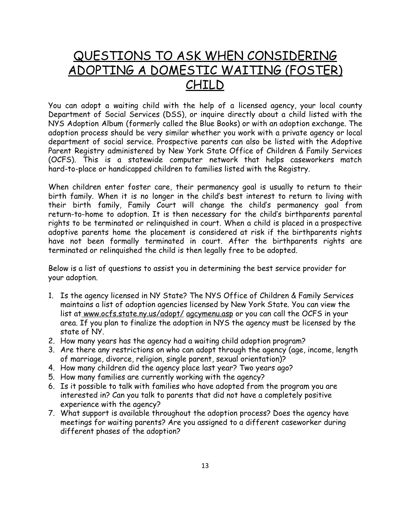## QUESTIONS TO ASK WHEN CONSIDERING ADOPTING A DOMESTIC WAITING (FOSTER) CHILD

You can adopt a waiting child with the help of a licensed agency, your local county Department of Social Services (DSS), or inquire directly about a child listed with the NYS Adoption Album (formerly called the Blue Books) or with an adoption exchange. The adoption process should be very similar whether you work with a private agency or local department of social service. Prospective parents can also be listed with the Adoptive Parent Registry administered by New York State Office of Children & Family Services (OCFS). This is a statewide computer network that helps caseworkers match hard-to-place or handicapped children to families listed with the Registry.

When children enter foster care, their permanency goal is usually to return to their birth family. When it is no longer in the child's best interest to return to living with their birth family, Family Court will change the child's permanency goal from return-to-home to adoption. It is then necessary for the child's birthparents parental rights to be terminated or relinquished in court. When a child is placed in a prospective adoptive parents home the placement is considered at risk if the birthparents rights have not been formally terminated in court. After the birthparents rights are terminated or relinquished the child is then legally free to be adopted.

Below is a list of questions to assist you in determining the best service provider for your adoption.

- 1. Is the agency licensed in NY State? The NYS Office of Children & Family Services maintains a list of adoption agencies licensed by New York State. You can view the list at www.ocfs.state.ny.us/adopt/ agcymenu.asp or you can call the OCFS in your area. If you plan to finalize the adoption in NYS the agency must be licensed by the state of NY.
- 2. How many years has the agency had a waiting child adoption program?
- 3. Are there any restrictions on who can adopt through the agency (age, income, length of marriage, divorce, religion, single parent, sexual orientation)?
- 4. How many children did the agency place last year? Two years ago?
- 5. How many families are currently working with the agency?
- 6. Is it possible to talk with families who have adopted from the program you are interested in? Can you talk to parents that did not have a completely positive experience with the agency?
- 7. What support is available throughout the adoption process? Does the agency have meetings for waiting parents? Are you assigned to a different caseworker during different phases of the adoption?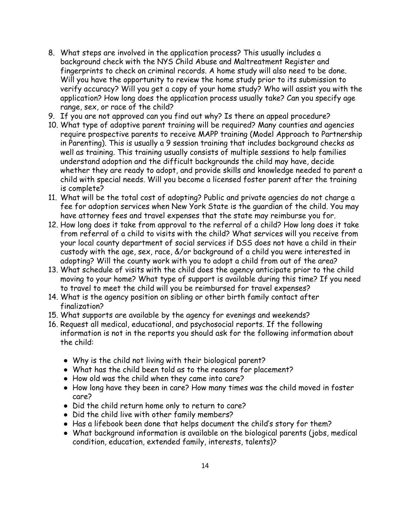- 8. What steps are involved in the application process? This usually includes a background check with the NYS Child Abuse and Maltreatment Register and fingerprints to check on criminal records. A home study will also need to be done. Will you have the opportunity to review the home study prior to its submission to verify accuracy? Will you get a copy of your home study? Who will assist you with the application? How long does the application process usually take? Can you specify age range, sex, or race of the child?
- 9. If you are not approved can you find out why? Is there an appeal procedure?
- 10. What type of adoptive parent training will be required? Many counties and agencies require prospective parents to receive MAPP training (Model Approach to Partnership in Parenting). This is usually a 9 session training that includes background checks as well as training. This training usually consists of multiple sessions to help families understand adoption and the difficult backgrounds the child may have, decide whether they are ready to adopt, and provide skills and knowledge needed to parent a child with special needs. Will you become a licensed foster parent after the training is complete?
- 11. What will be the total cost of adopting? Public and private agencies do not charge a fee for adoption services when New York State is the guardian of the child. You may have attorney fees and travel expenses that the state may reimburse you for.
- 12. How long does it take from approval to the referral of a child? How long does it take from referral of a child to visits with the child? What services will you receive from your local county department of social services if DSS does not have a child in their custody with the age, sex, race, &/or background of a child you were interested in adopting? Will the county work with you to adopt a child from out of the area?
- 13. What schedule of visits with the child does the agency anticipate prior to the child moving to your home? What type of support is available during this time? If you need to travel to meet the child will you be reimbursed for travel expenses?
- 14. What is the agency position on sibling or other birth family contact after finalization?
- 15. What supports are available by the agency for evenings and weekends?
- 16. Request all medical, educational, and psychosocial reports. If the following information is not in the reports you should ask for the following information about the child:
	- Why is the child not living with their biological parent?
	- What has the child been told as to the reasons for placement?
	- How old was the child when they came into care?
	- How long have they been in care? How many times was the child moved in foster care?
	- Did the child return home only to return to care?
	- Did the child live with other family members?
	- Has a lifebook been done that helps document the child's story for them?
	- What background information is available on the biological parents (jobs, medical condition, education, extended family, interests, talents)?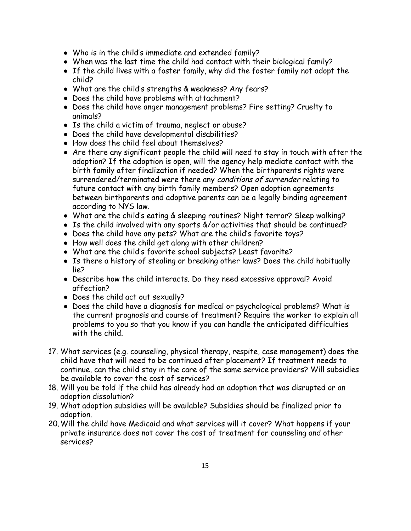- Who is in the child's immediate and extended family?
- When was the last time the child had contact with their biological family?
- If the child lives with a foster family, why did the foster family not adopt the child?
- What are the child's strengths & weakness? Any fears?
- Does the child have problems with attachment?
- Does the child have anger management problems? Fire setting? Cruelty to animals?
- Is the child a victim of trauma, neglect or abuse?
- Does the child have developmental disabilities?
- How does the child feel about themselves?
- Are there any significant people the child will need to stay in touch with after the adoption? If the adoption is open, will the agency help mediate contact with the birth family after finalization if needed? When the birthparents rights were surrendered/terminated were there any conditions of surrender relating to future contact with any birth family members? Open adoption agreements between birthparents and adoptive parents can be a legally binding agreement according to NYS law.
- What are the child's eating & sleeping routines? Night terror? Sleep walking?
- Is the child involved with any sports &/or activities that should be continued?
- Does the child have any pets? What are the child's favorite toys?
- How well does the child get along with other children?
- What are the child's favorite school subjects? Least favorite?
- Is there a history of stealing or breaking other laws? Does the child habitually lie?
- Describe how the child interacts. Do they need excessive approval? Avoid affection?
- Does the child act out sexually?
- Does the child have a diagnosis for medical or psychological problems? What is the current prognosis and course of treatment? Require the worker to explain all problems to you so that you know if you can handle the anticipated difficulties with the child.
- 17. What services (e.g. counseling, physical therapy, respite, case management) does the child have that will need to be continued after placement? If treatment needs to continue, can the child stay in the care of the same service providers? Will subsidies be available to cover the cost of services?
- 18. Will you be told if the child has already had an adoption that was disrupted or an adoption dissolution?
- 19. What adoption subsidies will be available? Subsidies should be finalized prior to adoption.
- 20.Will the child have Medicaid and what services will it cover? What happens if your private insurance does not cover the cost of treatment for counseling and other services?